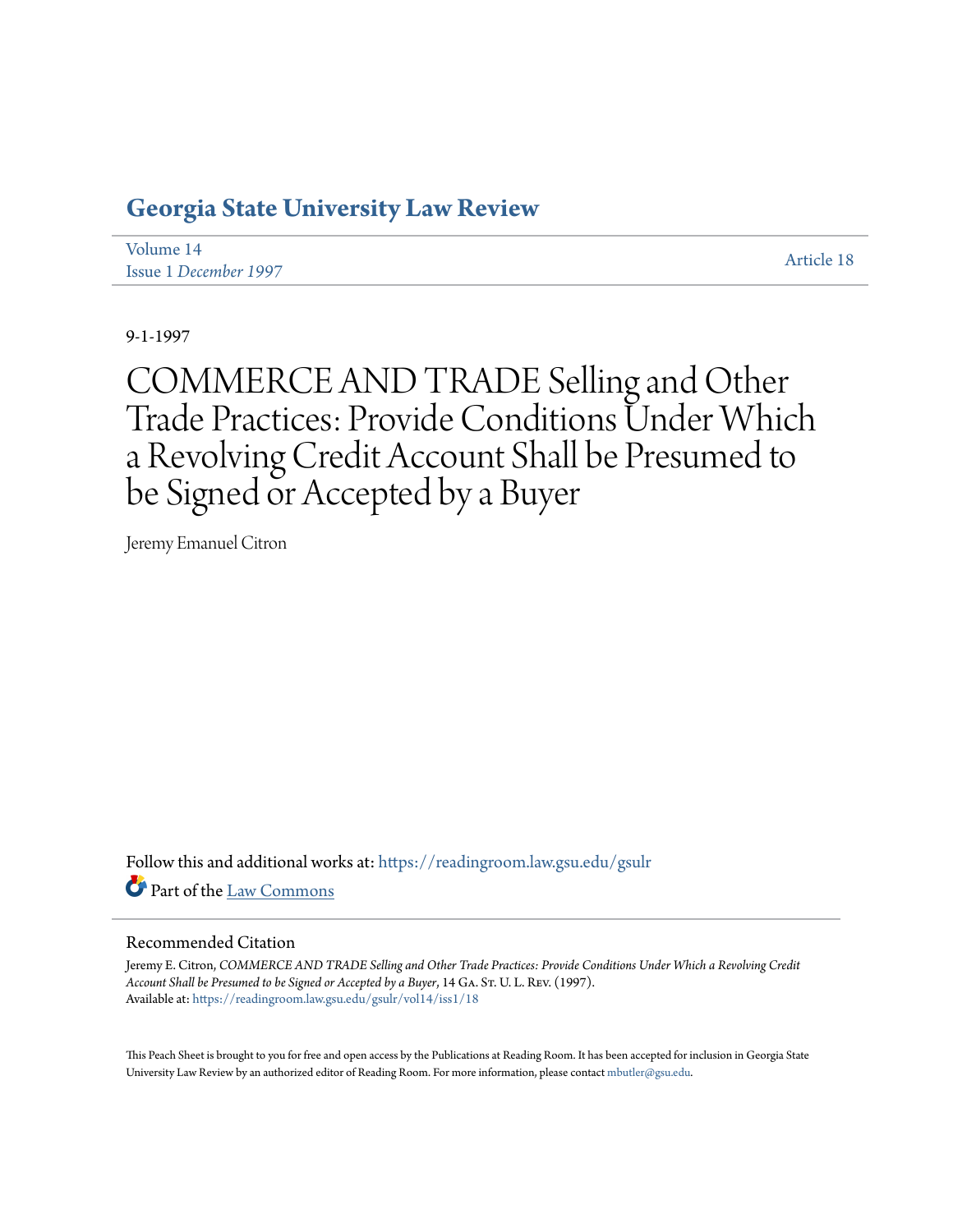# **[Georgia State University Law Review](https://readingroom.law.gsu.edu/gsulr?utm_source=readingroom.law.gsu.edu%2Fgsulr%2Fvol14%2Fiss1%2F18&utm_medium=PDF&utm_campaign=PDFCoverPages)**

| Volume 14             | Article 18 |
|-----------------------|------------|
| Issue 1 December 1997 |            |

9-1-1997

COMMERCE AND TRADE Selling and Other Trade Practices: Provide Conditions Under Which a Revolving Credit Account Shall be Presumed to be Signed or Accepted by a Buyer

Jeremy Emanuel Citron

Follow this and additional works at: [https://readingroom.law.gsu.edu/gsulr](https://readingroom.law.gsu.edu/gsulr?utm_source=readingroom.law.gsu.edu%2Fgsulr%2Fvol14%2Fiss1%2F18&utm_medium=PDF&utm_campaign=PDFCoverPages) Part of the [Law Commons](http://network.bepress.com/hgg/discipline/578?utm_source=readingroom.law.gsu.edu%2Fgsulr%2Fvol14%2Fiss1%2F18&utm_medium=PDF&utm_campaign=PDFCoverPages)

### Recommended Citation

Jeremy E. Citron, *COMMERCE AND TRADE Selling and Other Trade Practices: Provide Conditions Under Which a Revolving Credit* Account Shall be Presumed to be Signed or Accepted by a Buyer, 14 GA. St. U. L. REV. (1997). Available at: [https://readingroom.law.gsu.edu/gsulr/vol14/iss1/18](https://readingroom.law.gsu.edu/gsulr/vol14/iss1/18?utm_source=readingroom.law.gsu.edu%2Fgsulr%2Fvol14%2Fiss1%2F18&utm_medium=PDF&utm_campaign=PDFCoverPages)

This Peach Sheet is brought to you for free and open access by the Publications at Reading Room. It has been accepted for inclusion in Georgia State University Law Review by an authorized editor of Reading Room. For more information, please contact [mbutler@gsu.edu.](mailto:mbutler@gsu.edu)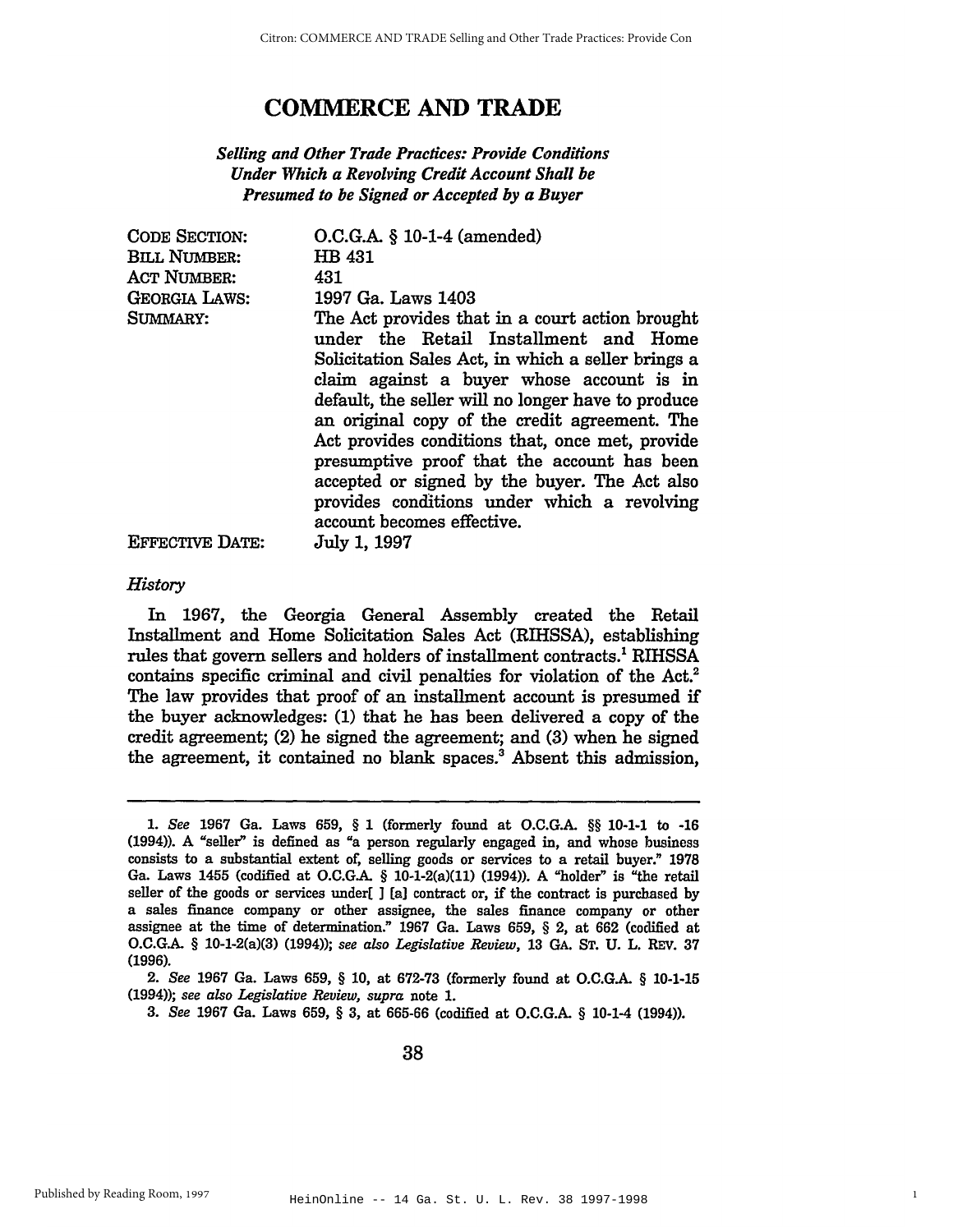## **COMMERCE AND TRADE**

### **Selling and Other Trade Practices: Provide Conditions** Under Which a Revolving Credit Account Shall be Presumed to be Signed or Accepted by a Buyer

| <b>CODE SECTION:</b>   | $O.C.G.A. § 10-1-4 (amended)$                                                                       |
|------------------------|-----------------------------------------------------------------------------------------------------|
| <b>BILL NUMBER:</b>    | HB 431                                                                                              |
| <b>ACT NUMBER:</b>     | 431                                                                                                 |
| <b>GEORGIA LAWS:</b>   | 1997 Ga. Laws 1403                                                                                  |
| SUMMARY:               | The Act provides that in a court action brought<br>under the Retail Installment and Home            |
|                        | Solicitation Sales Act, in which a seller brings a<br>claim against a buyer whose account is in     |
|                        | default, the seller will no longer have to produce<br>an original copy of the credit agreement. The |
|                        | Act provides conditions that, once met, provide<br>presumptive proof that the account has been      |
|                        | accepted or signed by the buyer. The Act also<br>provides conditions under which a revolving        |
|                        | account becomes effective.                                                                          |
| <b>EFFECTIVE DATE:</b> | July 1, 1997                                                                                        |

### History

In 1967, the Georgia General Assembly created the Retail Installment and Home Solicitation Sales Act (RIHSSA), establishing rules that govern sellers and holders of installment contracts.<sup>1</sup> RIHSSA contains specific criminal and civil penalties for violation of the Act.<sup>2</sup> The law provides that proof of an installment account is presumed if the buyer acknowledges: (1) that he has been delivered a copy of the credit agreement; (2) he signed the agreement; and (3) when he signed the agreement, it contained no blank spaces.<sup>3</sup> Absent this admission,

2. See 1967 Ga. Laws 659, § 10, at 672-73 (formerly found at O.C.G.A. § 10-1-15 (1994)); see also Legislative Review, supra note 1.

3. See 1967 Ga. Laws 659, § 3, at 665-66 (codified at O.C.G.A. § 10-1-4 (1994)).

38

<sup>1.</sup> See 1967 Ga. Laws 659, § 1 (formerly found at O.C.G.A. §§ 10-1-1 to -16 (1994)). A "seller" is defined as "a person regularly engaged in, and whose business consists to a substantial extent of, selling goods or services to a retail buyer." 1978 Ga. Laws 1455 (codified at O.C.G.A. § 10-1-2(a)(11) (1994)). A "holder" is "the retail seller of the goods or services under[ ] [a] contract or, if the contract is purchased by a sales finance company or other assignee, the sales finance company or other assignee at the time of determination." 1967 Ga. Laws 659, § 2, at 662 (codified at O.C.G.A. § 10-1-2(a)(3) (1994)); see also Legislative Review, 13 GA. ST. U. L. REV. 37  $(1996).$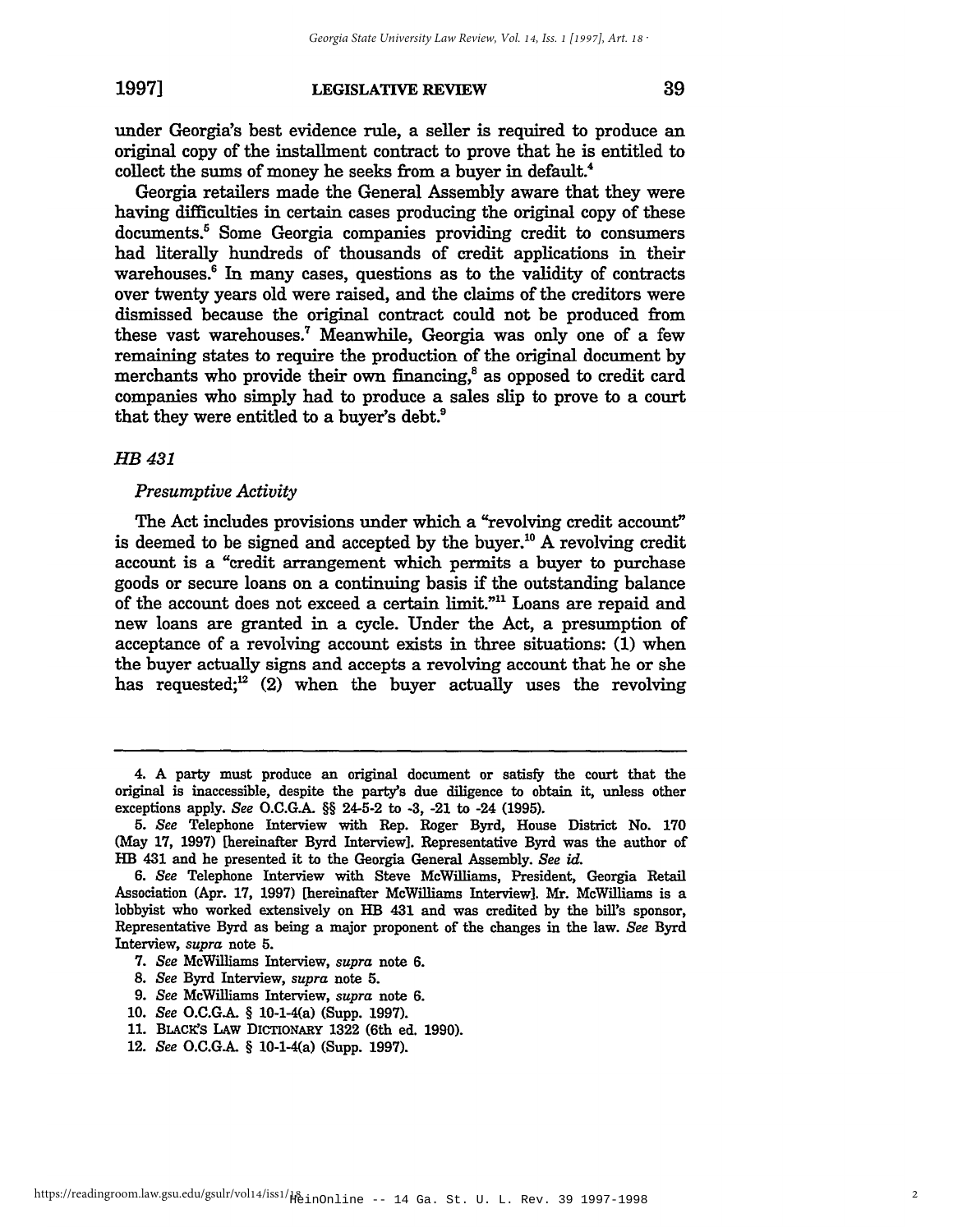#### 19971 **LEGISLATIVE REVIEW**

Georgia retailers made the General Assembly aware that they were having difficulties in certain cases producing the original copy of these documents.<sup>5</sup> Some Georgia companies providing credit to consumers had literally hundreds of thousands of credit applications in their warehouses.<sup>6</sup> In many cases, questions as to the validity of contracts over twenty years old were raised, and the claims of the creditors were dismissed because the original contract could not be produced from these vast warehouses.<sup>7</sup> Meanwhile, Georgia was only one of a few remaining states to require the production of the original document by merchants who provide their own financing,<sup>8</sup> as opposed to credit card companies who simply had to produce a sales slip to prove to a court that they were entitled to a buyer's debt.<sup>9</sup>

#### HB 431

#### **Presumptive Activity**

The Act includes provisions under which a "revolving credit account" is deemed to be signed and accepted by the buyer.<sup>10</sup> A revolving credit account is a "credit arrangement which permits a buyer to purchase goods or secure loans on a continuing basis if the outstanding balance of the account does not exceed a certain limit."<sup>11</sup> Loans are repaid and new loans are granted in a cycle. Under the Act, a presumption of acceptance of a revolving account exists in three situations: (1) when the buyer actually signs and accepts a revolving account that he or she has requested; $^{12}$  (2) when the buyer actually uses the revolving

<sup>4.</sup> A party must produce an original document or satisfy the court that the original is inaccessible, despite the party's due diligence to obtain it, unless other exceptions apply. See O.C.G.A. §§ 24-5-2 to -3, -21 to -24 (1995).

<sup>5.</sup> See Telephone Interview with Rep. Roger Byrd, House District No. 170 (May 17, 1997) [hereinafter Byrd Interview]. Representative Byrd was the author of HB 431 and he presented it to the Georgia General Assembly. See id.

<sup>6.</sup> See Telephone Interview with Steve McWilliams, President, Georgia Retail Association (Apr. 17, 1997) [hereinafter McWilliams Interview]. Mr. McWilliams is a lobbyist who worked extensively on HB 431 and was credited by the bill's sponsor, Representative Byrd as being a major proponent of the changes in the law. See Byrd Interview, supra note 5.

<sup>7.</sup> See McWilliams Interview, supra note 6.

<sup>8.</sup> See Byrd Interview, supra note 5.

<sup>9.</sup> See McWilliams Interview, supra note 6.

<sup>10.</sup> See O.C.G.A. § 10-1-4(a) (Supp. 1997).

<sup>11.</sup> BLACK'S LAW DICTIONARY 1322 (6th ed. 1990).

<sup>12.</sup> See O.C.G.A. § 10-1-4(a) (Supp. 1997).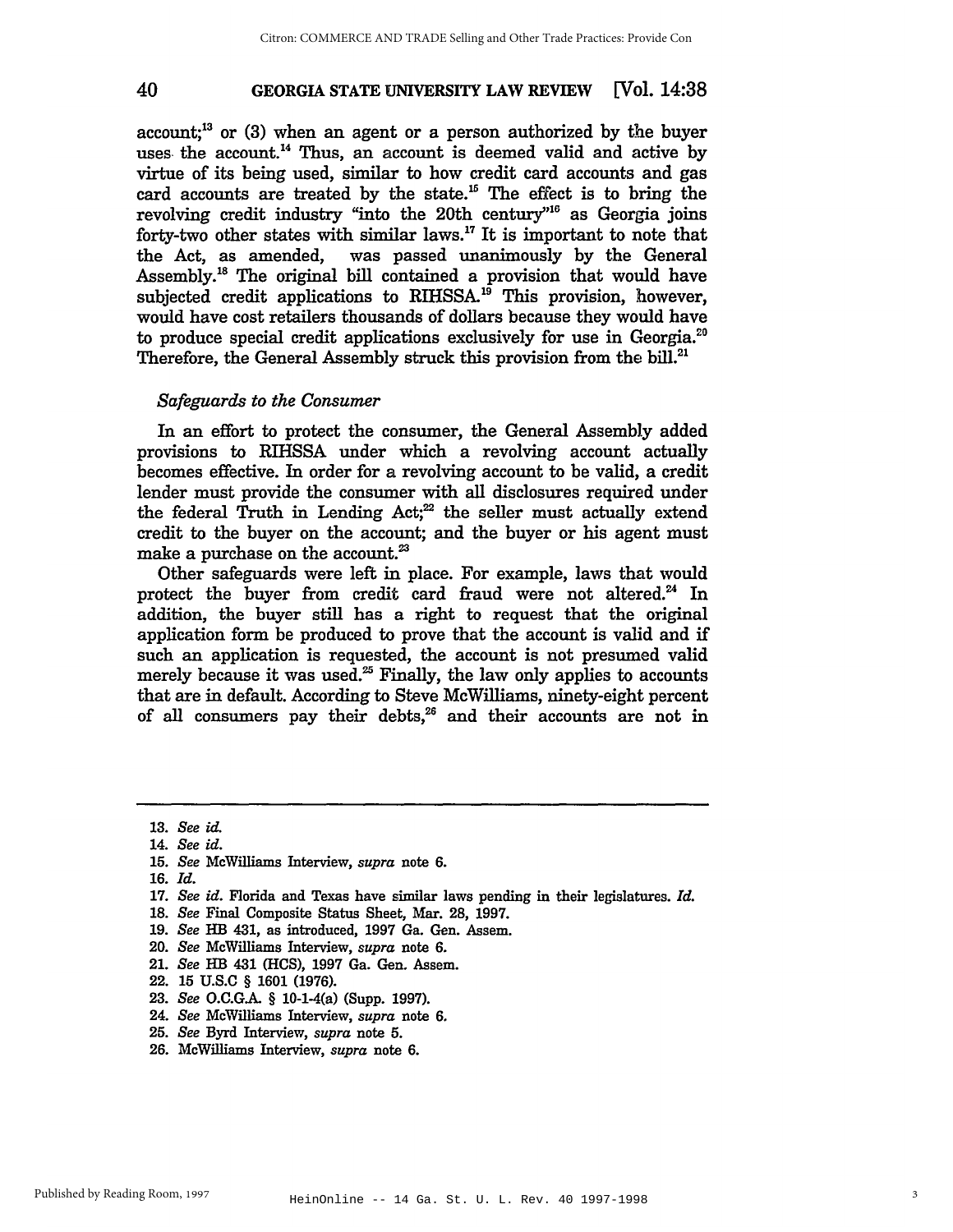40

#### **Nol. 14:38 GEORGIA STATE UNIVERSITY LAW REVIEW**

 $account<sup>13</sup>$  or (3) when an agent or a person authorized by the buyer uses the account.<sup>14</sup> Thus, an account is deemed valid and active by virtue of its being used, similar to how credit card accounts and gas card accounts are treated by the state.<sup>15</sup> The effect is to bring the revolving credit industry "into the 20th century"<sup>16</sup> as Georgia joins forty-two other states with similar laws.<sup>17</sup> It is important to note that was passed unanimously by the General the Act, as amended, Assembly.<sup>18</sup> The original bill contained a provision that would have subjected credit applications to RIHSSA.<sup>19</sup> This provision, however, would have cost retailers thousands of dollars because they would have to produce special credit applications exclusively for use in Georgia.<sup>20</sup> Therefore, the General Assembly struck this provision from the bill.<sup>21</sup>

#### Safeguards to the Consumer

In an effort to protect the consumer, the General Assembly added provisions to RIHSSA under which a revolving account actually becomes effective. In order for a revolving account to be valid, a credit lender must provide the consumer with all disclosures required under the federal Truth in Lending Act;<sup>22</sup> the seller must actually extend credit to the buyer on the account; and the buyer or his agent must make a purchase on the account.<sup>23</sup>

Other safeguards were left in place. For example, laws that would protect the buyer from credit card fraud were not altered.<sup>24</sup> In addition, the buyer still has a right to request that the original application form be produced to prove that the account is valid and if such an application is requested, the account is not presumed valid merely because it was used.<sup>25</sup> Finally, the law only applies to accounts that are in default. According to Steve McWilliams, ninety-eight percent of all consumers pay their debts,<sup>26</sup> and their accounts are not in

- 17. See id. Florida and Texas have similar laws pending in their legislatures. Id.
- 18. See Final Composite Status Sheet, Mar. 28, 1997.
- 19. See HB 431, as introduced, 1997 Ga. Gen. Assem.
- 20. See McWilliams Interview, supra note 6.
- 21. See HB 431 (HCS), 1997 Ga. Gen. Assem.
- 22. 15 U.S.C § 1601 (1976).
- 23. See O.C.G.A. § 10-1-4(a) (Supp. 1997).
- 24. See McWilliams Interview, supra note 6.
- 25. See Byrd Interview, supra note 5.
- 26. McWilliams Interview, supra note 6.

<sup>13.</sup> See id.

<sup>14.</sup> See id.

<sup>15.</sup> See McWilliams Interview, supra note 6.

 $16.$   $Id.$